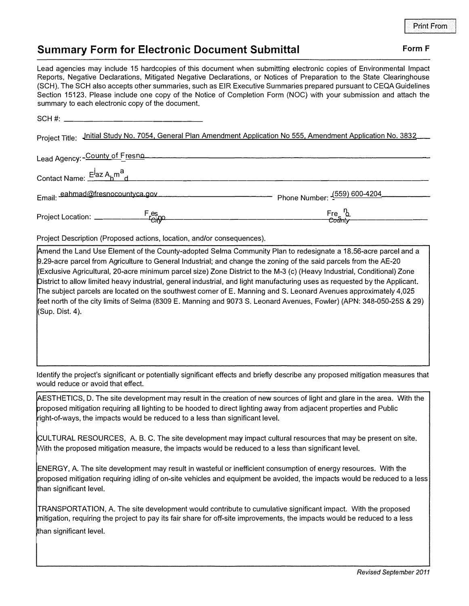## **Summary Form for Electronic Document Submittal <b>Form F** Form F

Lead agencies may include 15 hardcopies of this document when submitting electronic copies of Environmental Impact Reports, Negative Declarations, Mitigated Negative Declarations, or Notices of Preparation to the State Clearinghouse (SCH). The SCH also accepts other summaries, such as EIR Executive Summaries prepared pursuant to CEQA Guidelines Section 15123. Please include one copy of the Notice of Completion Form (NOC) with your submission and attach the summary to each electronic copy of the document.

| $SCH \#$                                                                                                            |                                             |
|---------------------------------------------------------------------------------------------------------------------|---------------------------------------------|
| Jnitial Study No. 7054, General Plan Amendment Application No 555, Amendment Application No. 3832<br>Project Title: |                                             |
| Lead Agency: - County of Fresno                                                                                     |                                             |
| Contact Name: E <sup>j</sup> az A <sub>h</sub> m <sup>a</sup> d                                                     |                                             |
| Email: eahmad@fresnocountyca.gov                                                                                    | - Phone Number: - <sup>(559)</sup> 600-4204 |
| Project Location: _____________Fes.po                                                                               | Fre <u>ს</u><br><del>Coun</del> ty          |

Project Description (Proposed actions, location, and/or consequences).

Amend the Land Use Element of the County-adopted Selma Community Plan to redesignate a 18.56-acre parcel and a 9.29-acre parcel from Agriculture to General Industrial; and change the zoning of the said parcels from the AE-20 Exclusive Agricultural, 20-acre minimum parcel size} Zone District to the M-3 (c) (Heavy Industrial, Conditional) Zone District to allow limited heavy industrial, general industrial, and light manufacturing uses as requested by the Applicant. The subject parcels are located on the southwest corner of E. Manning and S. Leonard Avenues approximately 4,025 feet north of the city limits of Selma (8309 E. Manning and 9073 S. Leonard Avenues, Fowler) (APN: 348-050-25S & 29}  $(Sup.$  Dist. 4).

Identify the project's significant or potentially significant effects and briefly describe any proposed mitigation measures that would reduce or avoid that effect.

�ESTHETICS, D. The site development may result in the creation of new sources of light and glare in the area. With the proposed mitigation requiring all lighting to be hooded to direct lighting away from adjacent properties and Public right-of-ways, the impacts would be reduced to a less than significant level.

(;UL TURAL RESOURCES, A. B. C. The site development may impact cultural resources that may be present on site. With the proposed mitigation measure, the impacts would be reduced to a less than significant level.

ENERGY, A. The site development may result in wasteful or inefficient consumption of energy resources. With the proposed mitigation requiring idling of on-site vehicles and equipment be avoided, the impacts would be reduced to a less than significant level.

TRANSPORTATION, A. The site development would contribute to cumulative significant impact. With the proposed mitigation, requiring the project to pay its fair share for off-site improvements, the impacts would be reduced to a less

than significant level.